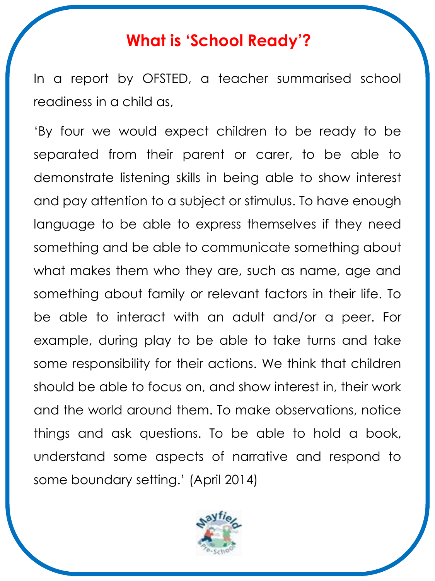# **What is 'School Ready'?**

In a report by OFSTED, a teacher summarised school readiness in a child as,

'By four we would expect children to be ready to be separated from their parent or carer, to be able to demonstrate listening skills in being able to show interest and pay attention to a subject or stimulus. To have enough language to be able to express themselves if they need something and be able to communicate something about what makes them who they are, such as name, age and something about family or relevant factors in their life. To be able to interact with an adult and/or a peer. For example, during play to be able to take turns and take some responsibility for their actions. We think that children should be able to focus on, and show interest in, their work and the world around them. To make observations, notice things and ask questions. To be able to hold a book, understand some aspects of narrative and respond to some boundary setting.' (April 2014)

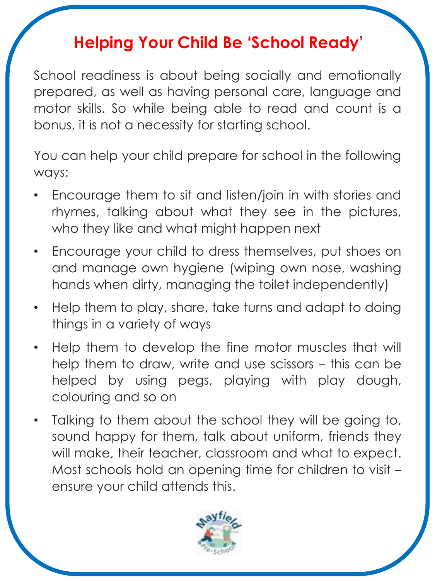# **Helping Your Child Be 'School Ready'**

School readiness is about being socially and emotionally prepared, as well as having personal care, language and motor skills. So while being able to read and count is a bonus, it is not a necessity for starting school.

You can help your child prepare for school in the following ways:

- Encourage them to sit and listen/join in with stories and rhymes, talking about what they see in the pictures, who they like and what might happen next
- Encourage your child to dress themselves, put shoes on and manage own hygiene (wiping own nose, washing hands when dirty, managing the toilet independently)
- Help them to play, share, take turns and adapt to doing things in a variety of ways
- Help them to develop the fine motor muscles that will help them to draw, write and use scissors – this can be helped by using pegs, playing with play dough, colouring and so on
- Talking to them about the school they will be going to, sound happy for them, talk about uniform, friends they will make, their teacher, classroom and what to expect. Most schools hold an opening time for children to visit – ensure your child attends this.

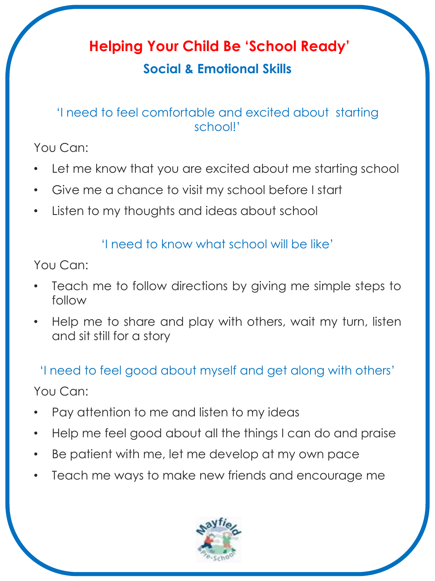# **Helping Your Child Be 'School Ready'**

## **Social & Emotional Skills**

### 'I need to feel comfortable and excited about starting school!'

You Can:

- Let me know that you are excited about me starting school
- Give me a chance to visit my school before I start
- Listen to my thoughts and ideas about school

#### 'I need to know what school will be like'

You Can:

- Teach me to follow directions by giving me simple steps to follow
- Help me to share and play with others, wait my turn, listen and sit still for a story

'I need to feel good about myself and get along with others'

You Can:

- Pay attention to me and listen to my ideas
- Help me feel good about all the things I can do and praise
- Be patient with me, let me develop at my own pace
- Teach me ways to make new friends and encourage me

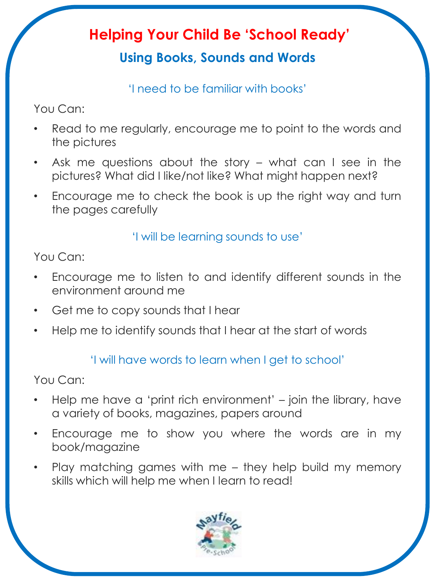# **Helping Your Child Be 'School Ready'**

## **Using Books, Sounds and Words**

'I need to be familiar with books'

You Can:

- Read to me regularly, encourage me to point to the words and the pictures
- Ask me questions about the story  $-$  what can I see in the pictures? What did I like/not like? What might happen next?
- Encourage me to check the book is up the right way and turn the pages carefully

#### 'I will be learning sounds to use'

You Can:

- Encourage me to listen to and identify different sounds in the environment around me
- Get me to copy sounds that I hear
- Help me to identify sounds that I hear at the start of words

### 'I will have words to learn when I get to school'

You Can:

- Help me have a 'print rich environment' join the library, have a variety of books, magazines, papers around
- Encourage me to show you where the words are in my book/magazine
- Play matching games with me they help build my memory skills which will help me when I learn to read!

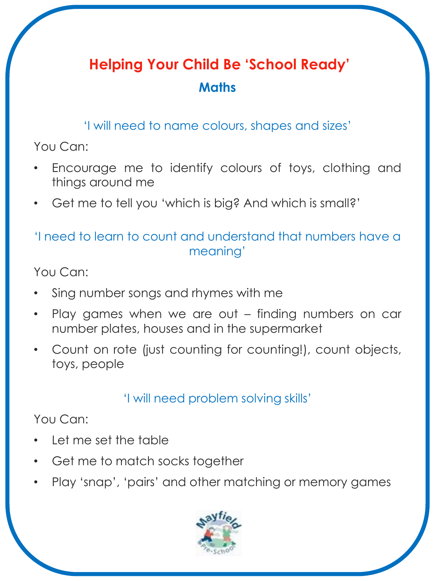# **Helping Your Child Be 'School Ready' Maths**

'I will need to name colours, shapes and sizes'

You Can:

- Encourage me to identify colours of toys, clothing and things around me
- Get me to tell you 'which is big? And which is small?'

### 'I need to learn to count and understand that numbers have a meaning'

You Can:

- Sing number songs and rhymes with me
- Play games when we are out finding numbers on car number plates, houses and in the supermarket
- Count on rote (just counting for counting!), count objects, toys, people

### 'I will need problem solving skills'

You Can:

- Let me set the table
- Get me to match socks together
- Play 'snap', 'pairs' and other matching or memory games